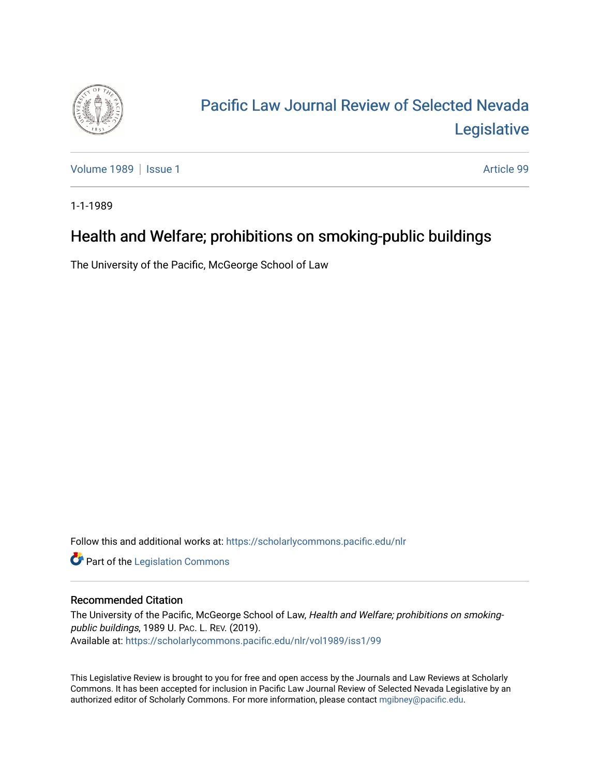

## [Pacific Law Journal Review of Selected Nevada](https://scholarlycommons.pacific.edu/nlr)  [Legislative](https://scholarlycommons.pacific.edu/nlr)

[Volume 1989](https://scholarlycommons.pacific.edu/nlr/vol1989) | [Issue 1](https://scholarlycommons.pacific.edu/nlr/vol1989/iss1) Article 99

1-1-1989

## Health and Welfare; prohibitions on smoking-public buildings

The University of the Pacific, McGeorge School of Law

Follow this and additional works at: [https://scholarlycommons.pacific.edu/nlr](https://scholarlycommons.pacific.edu/nlr?utm_source=scholarlycommons.pacific.edu%2Fnlr%2Fvol1989%2Fiss1%2F99&utm_medium=PDF&utm_campaign=PDFCoverPages) 

**Part of the [Legislation Commons](http://network.bepress.com/hgg/discipline/859?utm_source=scholarlycommons.pacific.edu%2Fnlr%2Fvol1989%2Fiss1%2F99&utm_medium=PDF&utm_campaign=PDFCoverPages)** 

## Recommended Citation

The University of the Pacific, McGeorge School of Law, Health and Welfare; prohibitions on smokingpublic buildings, 1989 U. PAC. L. REV. (2019). Available at: [https://scholarlycommons.pacific.edu/nlr/vol1989/iss1/99](https://scholarlycommons.pacific.edu/nlr/vol1989/iss1/99?utm_source=scholarlycommons.pacific.edu%2Fnlr%2Fvol1989%2Fiss1%2F99&utm_medium=PDF&utm_campaign=PDFCoverPages)

This Legislative Review is brought to you for free and open access by the Journals and Law Reviews at Scholarly Commons. It has been accepted for inclusion in Pacific Law Journal Review of Selected Nevada Legislative by an authorized editor of Scholarly Commons. For more information, please contact [mgibney@pacific.edu](mailto:mgibney@pacific.edu).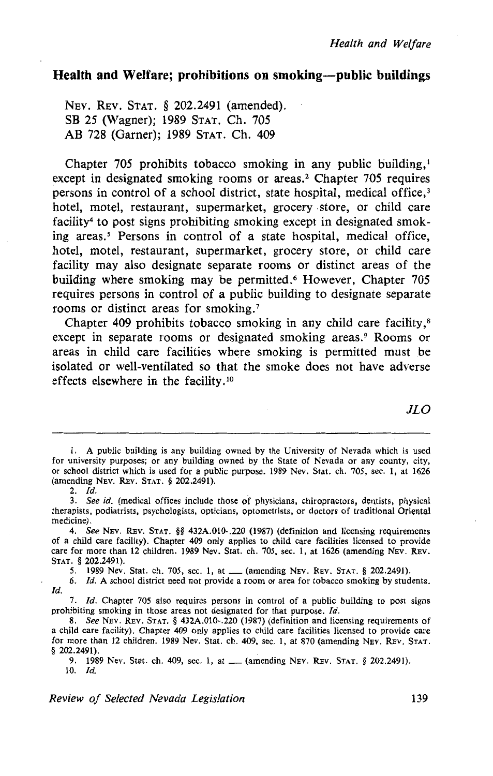## **Health and Welfare; prohibitions on smoking-public buildings**

NEV. REV. STAT. § 202.2491 (amended). SB 25 (Wagner); 1989 STAT. Ch. 705 AB 728 (Garner); 1989 STAT. Ch. 409

Chapter 705 prohibits tobacco smoking in any public building,<sup>1</sup> except in designated smoking rooms or areas.<sup>2</sup> Chapter 705 requires persons in control of a school district, state hospital, medical office,<sup>3</sup> hotel, motel, restaurant, supermarket, grocery . store, or child care facility<sup>4</sup> to post signs prohibiting smoking except in designated smoking areas.<sup>5</sup> Persons in control of a state hospital, medical office, hotel, motel, restaurant, supermarket, grocery store, or child care facility may also designate separate rooms or distinct areas of the building where smoking may be permitted.<sup>6</sup> However, Chapter 705 requires persons in control of a public building to designate separate rooms or distinct areas for smoking.<sup>7</sup>

Chapter 409 prohibits tobacco smoking in any child care facility,<sup>8</sup> except in separate rooms or designated smoking areas.<sup>9</sup> Rooms or areas in child care facilities where smoking is permitted must be isolated or well-ventilated so that the smoke does not have adverse effects elsewhere in the facility.<sup>10</sup>

*JLO* 

<sup>1.</sup> A public building is any building owned by the University of Nevada which is used for university purposes; or any building owned by the State of Nevada or any county, city, or school district which is used for a public purpose. 1989 Nev. Stat. ch. 705, sec. I, at 1626 (amending NEV. REv. STAT. § 202.2491).

<sup>2.</sup> *!d.* 

<sup>3.</sup> See id. (medical offices include those of physicians, chiropractors, dentists, physical therapists, podiatrists, psychologists, opticians, optometrists, or doctors of traditional Oriental medicine).

<sup>4.</sup> See NEv. REv. STAT. §§ 432A.010-.220 (1987) (definition and licensing requirements of a child care facility). Chapter 409 only applies to child care facilities licensed to provide care for more than 12 children. 1989 Nev. Stat. ch. 705, sec. 1, at 1626 (amending NEv. REv. STAT. § 202.2491).

<sup>5. 1989</sup> Nev. Stat. ch. 705, sec. I, at\_ (amending NEv. REv. STAT. § 202.2491).

<sup>6.</sup> */d.* A school district need not provide a room or area for tobacco smoking by students. *!d.* 

<sup>7.</sup> *Id.* Chapter 705 also requires persons in control of a public building to post signs prohibiting smoking in those areas not designated for that purpose. *!d.* 

<sup>8.</sup> See NEv. REv. STAT. § 432A.010-.220 (1987) (definition and licensing requirements of a child care facility). Chapter 409 only applies to child care facilities licensed to provide care for more than 12 children. 1989 Nev. Stat. ch. 409, sec. 1, at 870 (amending NEv. REv. STAT. § 202.2491).

<sup>9. 1989</sup> Nev. Stat. ch. 409, sec. 1, at\_ (amending NEv. REv. STAT. § 202.2491).  $10.$   $Id.$